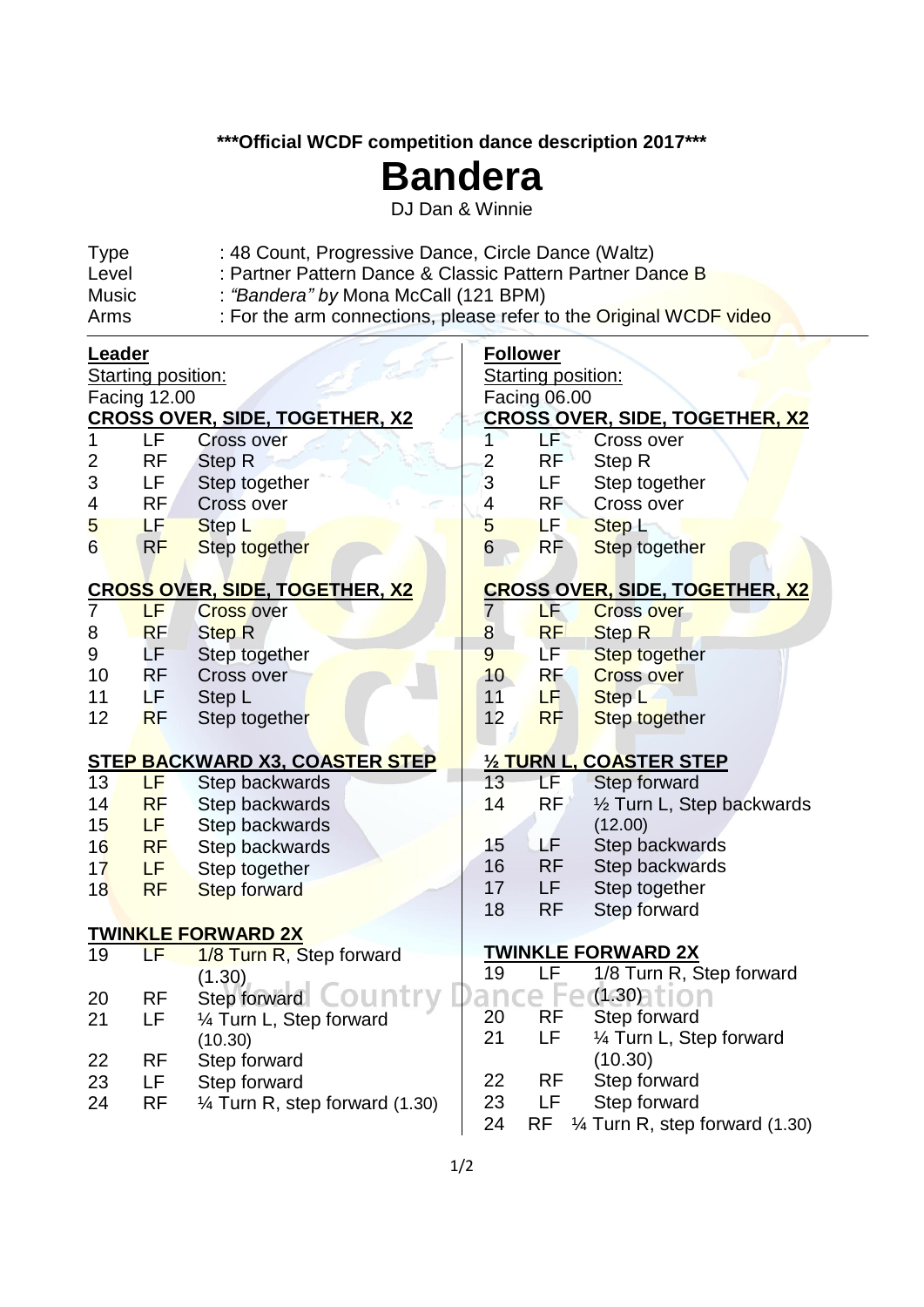**\*\*\*Official WCDF competition dance description 2017\*\*\***

## **Bandera**

DJ Dan & Winnie

| : 48 Count, Progressive Dance, Circle Dance (Waltz)<br><b>Type</b><br>: Partner Pattern Dance & Classic Pattern Partner Dance B<br>Level |                                      |                                       |                                       |                           |                                       |  |  |  |  |
|------------------------------------------------------------------------------------------------------------------------------------------|--------------------------------------|---------------------------------------|---------------------------------------|---------------------------|---------------------------------------|--|--|--|--|
| <b>Music</b>                                                                                                                             |                                      |                                       |                                       |                           |                                       |  |  |  |  |
|                                                                                                                                          | : "Bandera" by Mona McCall (121 BPM) |                                       |                                       |                           |                                       |  |  |  |  |
| : For the arm connections, please refer to the Original WCDF video<br>Arms                                                               |                                      |                                       |                                       |                           |                                       |  |  |  |  |
| <b>Leader</b>                                                                                                                            |                                      |                                       | <b>Follower</b>                       |                           |                                       |  |  |  |  |
| <b>Starting position:</b>                                                                                                                |                                      |                                       |                                       | <b>Starting position:</b> |                                       |  |  |  |  |
| <b>Facing 12.00</b>                                                                                                                      |                                      |                                       |                                       | <b>Facing 06.00</b>       |                                       |  |  |  |  |
|                                                                                                                                          |                                      | <b>CROSS OVER, SIDE, TOGETHER, X2</b> | <u>CROSS OVER, SIDE, TOGETHER, X2</u> |                           |                                       |  |  |  |  |
|                                                                                                                                          | LF                                   | <b>Cross over</b>                     |                                       | LF.                       | Cross over                            |  |  |  |  |
| 2                                                                                                                                        | <b>RF</b>                            | Step R                                | $\overline{2}$                        | <b>RF</b>                 | Step R                                |  |  |  |  |
| 3                                                                                                                                        | LF                                   | Step together                         | 3                                     | LF                        | Step together                         |  |  |  |  |
| 4                                                                                                                                        | RF                                   | Cross over                            | 4                                     | RF                        | Cross over                            |  |  |  |  |
| 5                                                                                                                                        | LF                                   | Step L                                | 5                                     | LF I                      | Step L                                |  |  |  |  |
| 6                                                                                                                                        | RF                                   | Step together                         | $6\phantom{1}6$                       | <b>RF</b>                 | Step together                         |  |  |  |  |
| <u>CROSS OVER, SIDE, TOGETHER, X2</u>                                                                                                    |                                      |                                       | <b>CROSS OVER, SIDE, TOGETHER, X2</b> |                           |                                       |  |  |  |  |
| $\overline{7}$                                                                                                                           | LF.                                  | <b>Cross over</b>                     | 7                                     | LF                        | <b>Cross over</b>                     |  |  |  |  |
| 8                                                                                                                                        | <b>RF</b>                            | <b>Step R</b>                         | $\bf 8$                               | <b>RF</b>                 | <b>Step R</b>                         |  |  |  |  |
| 9                                                                                                                                        | LF                                   | Step together                         | 9                                     | LF.                       | <b>Step together</b>                  |  |  |  |  |
| 10                                                                                                                                       | <b>RF</b>                            | Cross over                            | 10 <sub>1</sub>                       | <b>RF</b>                 | <b>Cross over</b>                     |  |  |  |  |
| 11                                                                                                                                       | LF.                                  | Step L                                | 11                                    | LF.                       | Step L                                |  |  |  |  |
| 12                                                                                                                                       | <b>RF</b>                            | Step together                         | 12                                    | <b>RF</b>                 | Step together                         |  |  |  |  |
| <b>STEP BACKWARD X3, COASTER STEP</b>                                                                                                    |                                      |                                       |                                       | 1/2 TURN L, COASTER STEP  |                                       |  |  |  |  |
| 13                                                                                                                                       | LF                                   |                                       | 13                                    | LF.                       | Step forward                          |  |  |  |  |
| 14                                                                                                                                       | <b>RF</b>                            | Step backwards<br>Step backwards      | 14                                    | RF                        |                                       |  |  |  |  |
| 15                                                                                                                                       | LF.                                  | Step backwards                        |                                       |                           | 1/2 Turn L, Step backwards<br>(12.00) |  |  |  |  |
| 16                                                                                                                                       | <b>RF</b>                            | Step backwards                        | 15                                    | LF.                       | Step backwards                        |  |  |  |  |
| 17                                                                                                                                       | LF.                                  |                                       | 16                                    | <b>RF</b>                 | Step backwards                        |  |  |  |  |
| 18                                                                                                                                       | <b>RF</b>                            | Step together                         | 17                                    | LF.                       | Step together                         |  |  |  |  |
|                                                                                                                                          |                                      | <b>Step forward</b>                   | 18                                    | <b>RF</b>                 | Step forward                          |  |  |  |  |
|                                                                                                                                          |                                      | TWI <mark>NKLE FORWARD 2X</mark>      |                                       |                           |                                       |  |  |  |  |
| 19                                                                                                                                       | LF                                   | 1/8 Turn R, Step forward              |                                       | <u>TWINKLE FORWARD 2X</u> |                                       |  |  |  |  |
|                                                                                                                                          |                                      | (1.30)                                | 19                                    | LF                        | 1/8 Turn R, Step forward              |  |  |  |  |
| 20                                                                                                                                       | <b>RF</b>                            | Step forward COUNT                    |                                       |                           | (1.30)                                |  |  |  |  |
| 21                                                                                                                                       | LF                                   | 1⁄4 Turn L, Step forward              | 20                                    | RF                        | Step forward                          |  |  |  |  |
|                                                                                                                                          |                                      | (10.30)                               | 21                                    | LF                        | 1⁄4 Turn L, Step forward              |  |  |  |  |
| 22                                                                                                                                       | <b>RF</b>                            | Step forward                          |                                       |                           | (10.30)                               |  |  |  |  |
| 23                                                                                                                                       | LF                                   | Step forward                          | 22                                    | RF                        | Step forward                          |  |  |  |  |
| 24                                                                                                                                       | <b>RF</b>                            | 1⁄4 Turn R, step forward (1.30)       | 23                                    | LF.                       | Step forward                          |  |  |  |  |
|                                                                                                                                          |                                      |                                       | 24                                    | RF                        | 1⁄4 Turn R, step forward (1.30)       |  |  |  |  |